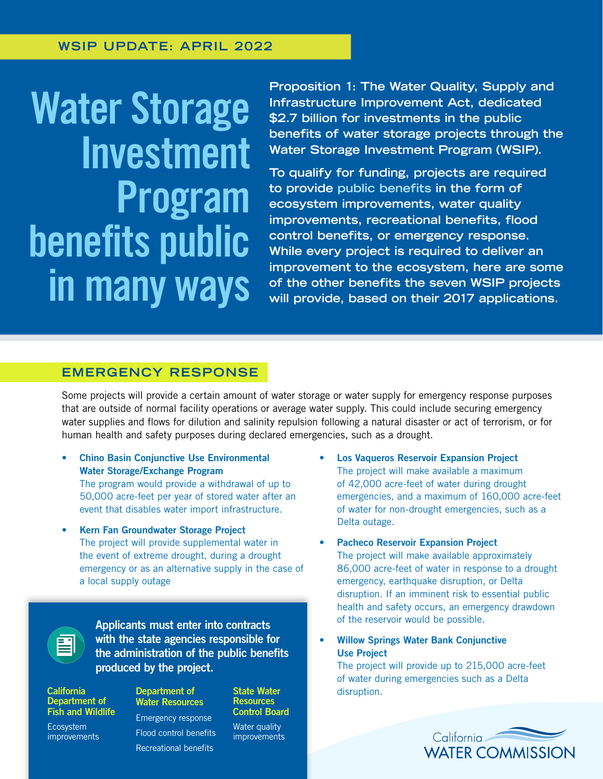# Water Storage Investment Program benefits public in many ways

**Proposition 1: The Water Quality, Supply and Infrastructure Improvement Act, dedicated \$2.7 billion for investments in the public benefits of water storage projects through the Water Storage Investment Program (WSIP).** 

**To qualify for funding, projects are required to provide public benefits in the form of ecosystem improvements, water quality improvements, recreational benefits, flood control benefits, or emergency response. While every project is required to deliver an improvement to the ecosystem, here are some of the other benefits the seven WSIP projects will provide, based on their 2017 applications.**

## **EMERGENCY RESPONSE**

Some projects will provide a certain amount of water storage or water supply for emergency response purposes that are outside of normal facility operations or average water supply. This could include securing emergency water supplies and flows for dilution and salinity repulsion following a natural disaster or act of terrorism, or for human health and safety purposes during declared emergencies, such as a drought.

- Chino Basin Conjunctive Use Environmental Water Storage/Exchange Program The program would provide a withdrawal of up to 50,000 acre-feet per year of stored water after an event that disables water import infrastructure.
- Kern Fan Groundwater Storage Project The project will provide supplemental water in the event of extreme drought, during a drought emergency or as an alternative supply in the case of a local supply outage

Applicants must enter into contracts with the state agencies responsible for the administration of the public benefits produced by the project.

**California** Department of Fish and Wildlife

Ecosystem improvements

## Department of Water Resources Emergency response

Flood control benefits Recreational benefits

**Resources** Control Board Water quality improvements

State Water

- Los Vaqueros Reservoir Expansion Project The project will make available a maximum of 42,000 acre-feet of water during drought emergencies, and a maximum of 160,000 acre-feet of water for non-drought emergencies, such as a Delta outage.
- **Pacheco Reservoir Expansion Project** The project will make available approximately 86,000 acre-feet of water in response to a drought emergency, earthquake disruption, or Delta disruption. If an imminent risk to essential public health and safety occurs, an emergency drawdown of the reservoir would be possible.
- Willow Springs Water Bank Conjunctive Use Project

The project will provide up to 215,000 acre-feet of water during emergencies such as a Delta disruption.